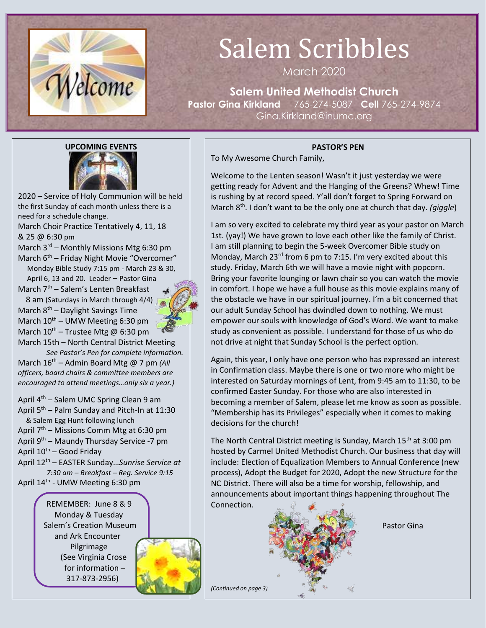

# Salem Scribbles

March 2020

**Salem United Methodist Church Pastor Gina Kirkland** 765-274-5087 **Cell** 765-274-9874 Gina.Kirkland@inumc.org

### **PASTOR'S PEN**

To My Awesome Church Family,

Welcome to the Lenten season! Wasn't it just yesterday we were getting ready for Advent and the Hanging of the Greens? Whew! Time is rushing by at record speed. Y'all don't forget to Spring Forward on March 8<sup>th</sup>. I don't want to be the only one at church that day. *(giggle)* 

I am so very excited to celebrate my third year as your pastor on March 1st. (yay!) We have grown to love each other like the family of Christ. I am still planning to begin the 5-week Overcomer Bible study on Monday, March 23rd from 6 pm to 7:15. I'm very excited about this study. Friday, March 6th we will have a movie night with popcorn. Bring your favorite lounging or lawn chair so you can watch the movie in comfort. I hope we have a full house as this movie explains many of the obstacle we have in our spiritual journey. I'm a bit concerned that our adult Sunday School has dwindled down to nothing. We must empower our souls with knowledge of God's Word. We want to make study as convenient as possible. I understand for those of us who do not drive at night that Sunday School is the perfect option.

Again, this year, I only have one person who has expressed an interest in Confirmation class. Maybe there is one or two more who might be interested on Saturday mornings of Lent, from 9:45 am to 11:30, to be confirmed Easter Sunday. For those who are also interested in becoming a member of Salem, please let me know as soon as possible. "Membership has its Privileges" especially when it comes to making decisions for the church!

The North Central District meeting is Sunday, March 15<sup>th</sup> at 3:00 pm hosted by Carmel United Methodist Church. Our business that day will include: Election of Equalization Members to Annual Conference (new process), Adopt the Budget for 2020, Adopt the new Structure for the NC District. There will also be a time for worship, fellowship, and announcements about important things happening throughout The Connection.



Pastor Gina

**[UPCOMING EVENTS](http://www.google.com/url?sa=i&rct=j&q=&esrc=s&source=images&cd=&cad=rja&uact=8&ved=0ahUKEwj4q_6Qx6DYAhVD6oMKHbySBKYQjRwIBw&url=http://www.daretodreamcoach.com/successful-and-fulfilling-2018/&psig=AOvVaw1FBQ2NHwMh23KXk1xJpWIH&ust=1514132896324432)**

2020 – Service of Holy Communion will be held the first Sunday of each month unless there is a need for a schedule change.

March Choir Practice Tentatively 4, 11, 18 & 25 @ 6:30 pm

March 3<sup>rd</sup> – Monthly Missions Mtg 6:30 pm March  $6<sup>th</sup>$  – Friday Night Movie "Overcomer" Monday Bible Study 7:15 pm - March 23 & 30,

 April 6, 13 and 20. Leader – Pastor Gin[a](https://www.faithclipart.com/fca/affiliate.do?id=58&coupon=christmas) March  $7<sup>th</sup>$  – Salem's Lenten Breakfast

 8 am (Saturdays in March through 4/4) March  $8<sup>th</sup>$  – Daylight Savings Time

March  $10^{th}$  – UMW Meeting 6:30 pm March  $10^{th}$  – Trustee Mtg @ 6:30 pm

March 15th – North Central District Meeting *See Pastor's Pen for complete information.*

March 16<sup>th</sup> – Admin Board Mtg @ 7 pm *(All officers, board chairs & committee members are encouraged to attend meetings…only six a year.)*

April  $4<sup>th</sup>$  – Salem UMC Spring Clean 9 am April 5<sup>th</sup> – Palm Sunday and Pitch-In at 11:30 & Salem Egg Hunt following lunch April 7<sup>th</sup> – Missions Comm Mtg at 6:30 pm April 9<sup>th</sup> – Maundy Thursday Service -7 pm April 10<sup>th</sup> – Good Friday

April 12th – EASTER Sunday…*Sunrise Service at 7:30 am – Breakfast – Reg. Service 9:15*

April 14<sup>th</sup> - UMW Meeting 6:30 pm



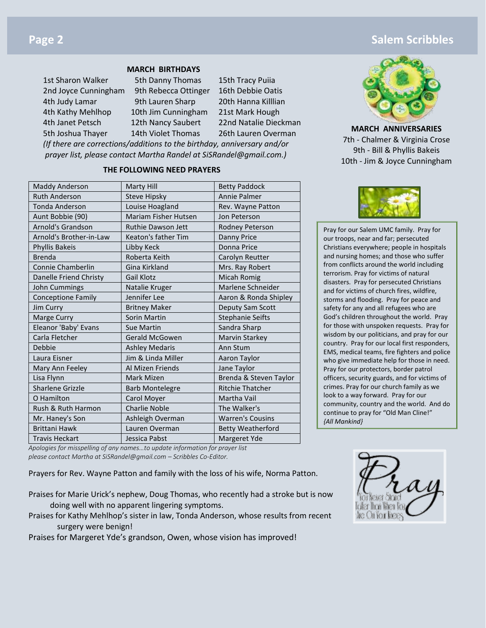# **Page 2 Salem Scribbles Contract Contract Contract Contract Contract Contract Contract Contract Contract Contract Contract Contract Contract Contract Contract Contract Contract Contract Contract Contract Contract Contr**

#### **MARCH BIRTHDAYS**

1st Sharon Walker 5th Danny Thomas 15th Tracy Puiia 2nd Joyce Cunningham 9th Rebecca Ottinger 16th Debbie Oatis 4th Judy Lamar 9th Lauren Sharp 20th Hanna Killlian 4th Kathy Mehlhop 10th Jim Cunningham 21st Mark Hough 4th Janet Petsch 12th Nancy Saubert 22nd Natalie Dieckman 5th Joshua Thayer 14th Violet Thomas 26th Lauren Overman

*(If there are corrections/additions to the birthday, anniversary and/or prayer list, please contact Martha Randel at SiSRandel@gmail.com.)*

### **THE FOLLOWING NEED PRAYERS**

| <b>Maddy Anderson</b>     | Marty Hill                  | <b>Betty Paddock</b>     |  |
|---------------------------|-----------------------------|--------------------------|--|
| <b>Ruth Anderson</b>      | <b>Steve Hipsky</b>         | <b>Annie Palmer</b>      |  |
| <b>Tonda Anderson</b>     | Louise Hoagland             | Rev. Wayne Patton        |  |
| Aunt Bobbie (90)          | <b>Mariam Fisher Hutsen</b> | Jon Peterson             |  |
| <b>Arnold's Grandson</b>  | <b>Ruthie Dawson Jett</b>   | Rodney Peterson          |  |
| Arnold's Brother-in-Law   | Keaton's father Tim         | Danny Price              |  |
| <b>Phyllis Bakeis</b>     | Libby Keck                  | Donna Price              |  |
| <b>Brenda</b>             | Roberta Keith               | Carolyn Reutter          |  |
| <b>Connie Chamberlin</b>  | Gina Kirkland               | Mrs. Ray Robert          |  |
| Danelle Friend Christy    | <b>Gail Klotz</b>           | Micah Romig              |  |
| John Cummings             | Natalie Kruger              | Marlene Schneider        |  |
| <b>Conceptione Family</b> | Jennifer Lee                | Aaron & Ronda Shipley    |  |
| Jim Curry                 | <b>Britney Maker</b>        | Deputy Sam Scott         |  |
| Marge Curry               | Sorin Martin                | <b>Stephanie Seifts</b>  |  |
| Eleanor 'Baby' Evans      | <b>Sue Martin</b>           | Sandra Sharp             |  |
| Carla Fletcher            | <b>Gerald McGowen</b>       | Marvin Starkey           |  |
| Debbie                    | <b>Ashley Medaris</b>       | Ann Stum                 |  |
| Laura Eisner              | Jim & Linda Miller          | Aaron Taylor             |  |
| Mary Ann Feeley           | Al Mizen Friends            | Jane Taylor              |  |
| Lisa Flynn                | Mark Mizen                  | Brenda & Steven Taylor   |  |
| <b>Sharlene Grizzle</b>   | <b>Barb Montelegre</b>      | <b>Ritchie Thatcher</b>  |  |
| O Hamilton                | Carol Moyer                 | Martha Vail              |  |
| Rush & Ruth Harmon        | <b>Charlie Noble</b>        | The Walker's             |  |
| Mr. Haney's Son           | Ashleigh Overman            | <b>Warren's Cousins</b>  |  |
| <b>Brittani Hawk</b>      | Lauren Overman              | <b>Betty Weatherford</b> |  |
| <b>Travis Heckart</b>     | Jessica Pabst               | Margeret Yde             |  |



**M[ARCH ANNIVERSARIES](https://www.faithclipart.com/fca/affiliate.do?id=58&coupon=christmas)** 7th - Chalmer & Virginia Crose 9th - Bill & Phyllis Bakeis 10th - Jim & Joyce Cunningham



Pray for our Salem UMC family. Pray for our troops, near and far; persecuted Christians everywhere; people in hospitals and nursing homes; and those who suffer from conflicts around the world including terrorism. Pray for victims of natural disasters. Pray for persecuted Christians and for victims of church fires, wildfire, storms and flooding. Pray for peace and safety for any and all refugees who are God's children throughout the world. Pray for those with unspoken requests. Pray for wisdom by our politicians, and pray for our country. Pray for our local first responders, EMS, medical teams, fire fighters and police who give immediate help for those in need. Pray for our protectors, border patrol officers, security guards, and for victims of crimes. Pray for our church family as we look to a way forward. Pray for our community, country and the world. And do continue to pray for "Old Man Cline!" *{All Mankind}*

*Apologies for misspelling of any names…to update information for prayer list please contact Martha at SiSRandel@gmail.com – Scribbles Co-Editor.*

Prayers for Rev. Wayne Patton and family with the loss of his wife, Norma Patton.

- Praises for Marie Urick's nephew, Doug Thomas, who recently had a stroke but is now doing well with no apparent lingering symptoms.
- Praises for Kathy Mehlhop's sister in law, Tonda Anderson, whose results from recent surgery were benign!

Praises for Margeret Yde's grandson, Owen, whose vision has improved!

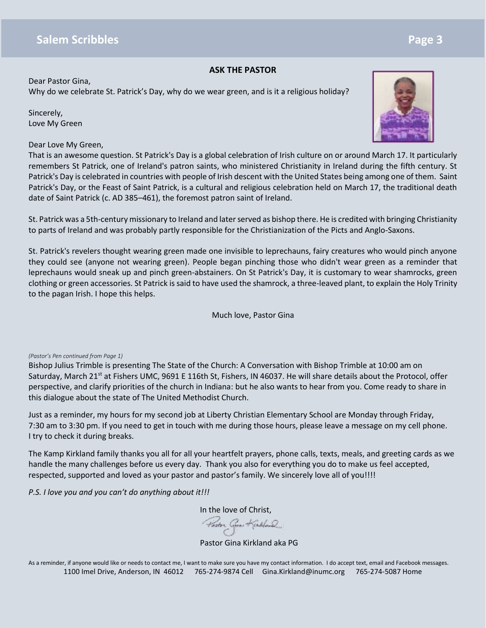#### **ASK THE PASTOR**

Dear Pastor Gina, Why do we celebrate St. Patrick's Day, why do we wear green, and is it a religious holiday?

Sincerely, Love My Green

Dear Love My Green,



That is an awesome question. St Patrick's Day is a global celebration of Irish culture on or around March 17. It particularly remembers St Patrick, one of Ireland's patron saints, who ministered Christianity in Ireland during the fifth century. St Patrick's Day is celebrated in countries with people of Irish descent with the United States being among one of them. Saint Patrick's Day, or the Feast of Saint Patrick, is a cultural and religious celebration held on March 17, the traditional death date of Saint Patrick (c. AD 385–461), the foremost patron saint of Ireland.

St. Patrick was a 5th-century missionary to Ireland and later served as bishop there. He is credited with bringing Christianity to parts of Ireland and was probably partly responsible for the Christianization of the Picts and Anglo-Saxons.

St. Patrick's revelers thought wearing green made one invisible to leprechauns, fairy creatures who would pinch anyone they could see (anyone not wearing green). People began pinching those who didn't wear green as a reminder that leprechauns would sneak up and pinch green-abstainers. On St Patrick's Day, it is customary to wear shamrocks, green clothing or green accessories. St Patrick is said to have used the shamrock, a three-leaved plant, to explain the Holy Trinity to the pagan Irish. I hope this helps.

Much love, Pastor Gina

#### *(Pastor's Pen continued from Page 1)*

Bishop Julius Trimble is presenting The State of the Church: A Conversation with Bishop Trimble at 10:00 am on Saturday, March 21<sup>st</sup> at Fishers UMC, 9691 E 116th St, Fishers, IN 46037. He will share details about the Protocol, offer perspective, and clarify priorities of the church in Indiana: but he also wants to hear from you. Come ready to share in this dialogue about the state of The United Methodist Church.

Just as a reminder, my hours for my second job at Liberty Christian Elementary School are Monday through Friday, 7:30 am to 3:30 pm. If you need to get in touch with me during those hours, please leave a message on my cell phone. I try to check it during breaks.

The Kamp Kirkland family thanks you all for all your heartfelt prayers, phone calls, texts, meals, and greeting cards as we handle the many challenges before us every day. Thank you also for everything you do to make us feel accepted, respected, supported and loved as your pastor and pastor's family. We sincerely love all of you!!!!

*P.S. I love you and you can't do anything about it!!!*

[In the love of Christ,](https://www.faithclipart.com/fca/affiliate.do?id=58&coupon=christmas)<br>Paston Gives Kindland

Pastor Gina Kirkland aka PG

As a reminder, if anyone would like or needs to contact me, I want to make sure you have my contact information. I do accept text, email and Facebook messages. 1100 Imel Drive, Anderson, IN 46012 765-274-9874 Cell Gina.Kirkland@inumc.org 765-274-5087 Home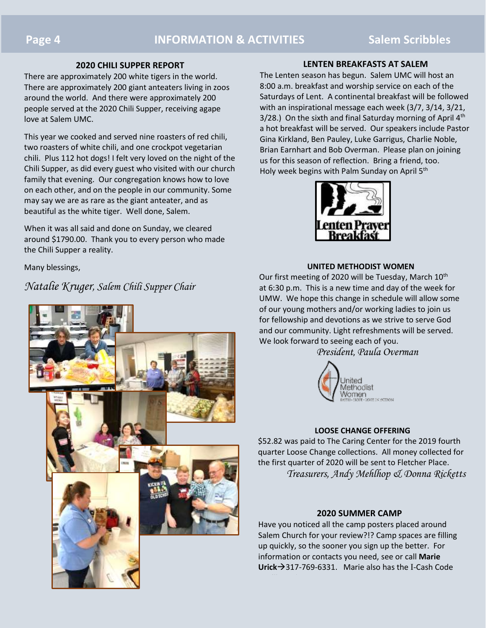#### **2020 CHILI SUPPER REPORT**

There are approximately 200 white tigers in the world. There are approximately 200 giant anteaters living in zoos around the world. And there were approximately 200 people served at the 2020 Chili Supper, receiving agape love at Salem UMC.

This year we cooked and served nine roasters of red chili, two roasters of white chili, and one crockpot vegetarian chili. Plus 112 hot dogs! I felt very loved on the night of the Chili Supper, as did every guest who visited with our church family that evening. Our congregation knows how to love on each other, and on the people in our community. Some may say we are as rare as the giant anteater, and as beautiful as the white tiger. Well done, Salem.

When it was all said and done on Sunday, we cleared around \$1790.00. Thank you to every person who made the Chili Supper a reality.

Many blessings,

*Natalie Kruger, Salem Chili Supper Chair*



#### **LENTEN BREAKFASTS AT SALEM**

The Lenten season has begun. Salem UMC will host an 8:00 a.m. breakfast and worship service on each of the Saturdays of Lent. A continental breakfast will be followed with an inspirational message each week (3/7, 3/14, 3/21,  $3/28$ .) On the sixth and final Saturday morning of April  $4<sup>th</sup>$ a hot breakfast will be served. Our speakers include Pastor Gina Kirkland, Ben Pauley, Luke Garrigus, Charlie Noble, Brian Earnhart and Bob Overman. Please plan on joining us for this season of reflection. Bring a friend, too. Holy week begins with Palm Sunday on April 5<sup>th</sup>



#### **UNITED METHODIST WOMEN**

Our first meeting of 2020 will be Tuesday, March  $10^{th}$ at 6:30 p.m. This is a new time and day of the week for UMW. We hope this change in schedule will allow some of our young mothers and/or working ladies to join us for fellowship and devotions as we strive to serve God and our community. Light refreshments will be served. We look forward to seeing each of you.

*President*, *Paula Overman*



#### **LOOSE CHANGE OFFERING**

\$52.82 was paid to The Caring Center for the 2019 fourth quarter Loose Change collections. All money collected for the first quarter of 2020 will be sent to Fletcher Place. *Treasurers, Andy Mehlhop & Donna Ricketts*

#### **2020 SUMMER CAMP**

Have you noticed all the camp posters placed around Salem Church for your review?!? Camp spaces are filling up quickly, so the sooner you sign up the better. For information or contacts you need, see or call **Marie Urick**→317-769-6331. Marie also has the I-Cash Code

you'll need.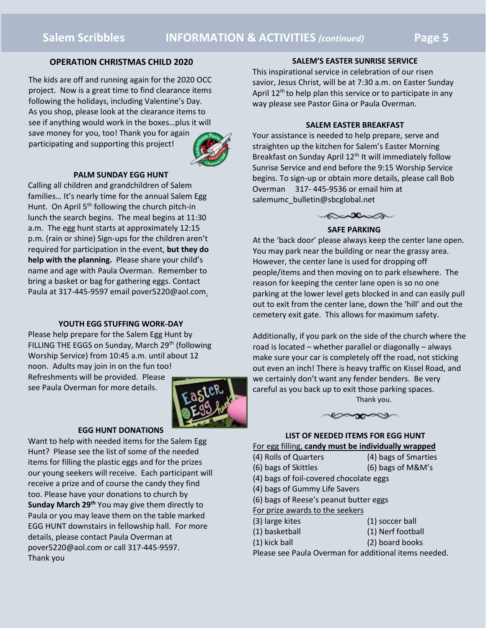#### **OPERATION CHRISTMAS CHILD 2020**

The kids are off and running again for the 2020 OCC project. Now is a great time to find clearance items following the holidays, including Valentine's Day. As you shop, please look at the clearance items to see if anything would work in the boxes…plus it will save money for you, too! Thank you for again participating and supporting this project!



#### **PALM SUNDAY EGG HUNT**

Calling all children and grandchildren of Salem families… It's nearly time for the annual Salem Egg Hunt. On April 5<sup>th</sup> following the church pitch-in lunch the search begins. The meal begins at 11:30 a.m. The egg hunt starts at approximately 12:15 p.m. (rain or shine) Sign-ups for the children aren't required for participation in the event, **but they do help with the planning.** Please share your child's name and age with Paula Overman. Remember to bring a basket or bag for gathering eggs. Contact Paula at 317-445-9597 email pover5220@aol.com.

#### **YOUTH EGG STUFFING WORK-DAY**

Please help prepare for the Salem Egg Hunt by FILLING THE EGGS on Sunday, March 29<sup>th</sup> (following Worship Service) from 10:45 a.m. until about 12 noon. Adults may join in on the fun too! Refreshments will be provided. Please

see Paula Overman for more details.



#### **EGG HUNT DONATIONS**

Want to help with needed items for the Salem Egg Hunt? Please see the list of some of the needed items for filling the plastic eggs and for the prizes our young seekers will receive. Each participant will receive a prize and of course the candy they find too. Please have your donations to church by **Sunday March 29th** You may give them directly to Paula or you may leave them on the table marked EGG HUNT downstairs in fellowship hall. For more details, please contact Paula Overman at pover5220@aol.com or call 317-445-9597. Thank you

#### **SALEM'S EASTER SUNRISE SERVICE**

This inspirational service in celebration of our risen savior, Jesus Christ, will be at 7:30 a.m. on Easter Sunday April  $12<sup>th</sup>$  to help plan this service or to participate in any way please see Pastor Gina or Paula Overman.

#### **SALEM EASTER BREAKFAST**

Your assistance is needed to help prepare, serve and straighten up the kitchen for Salem's Easter Morning Breakfast on Sunday April 12<sup>th</sup> It will immediately follow Sunrise Service and end before the 9:15 Worship Service begins. To sign-up or obtain more details, please call Bob Overman 317- 445-9536 or email him at salemumc\_bulletin@sbcglobal.net



#### **SAFE PARKING**

At the 'back door' please always keep the center lane open. You may park near the building or near the grassy area. However, the center lane is used for dropping off people/items and then moving on to park elsewhere. The reason for keeping the center lane open is so no one parking at the lower level gets blocked in and can easily pull out to exit from the center lane, down the 'hill' and out the cemetery exit gate. This allows for maximum safety.

Additionally, if you park on the side of the church where the road is located – whether parallel or diagonally – always make sure your car is completely off the road, not sticking out even an inch! There is heavy traffic on Kissel Road, and we certainly don't want any fender benders. Be very careful as you back up to exit those parking spaces. Thank you.



## **LIST OF NEEDED ITEMS FOR EGG HUNT**

- For egg filling, **candy must be individually wrapped**
- (4) Rolls of Quarters (4) bags of Smarties
- (6) bags of Skittles (6) bags of M&M's
- (4) bags of foil-covered chocolate eggs
- (4) bags of Gummy Life Savers
- (6) bags of Reese's peanut butter eggs
- For prize awards to the seekers
- (3) large kites (1) soccer ball
- (1) basketball (1) Nerf football
	-
- (1) kick ball (2) board books

Please see Paula Overman for additional items needed.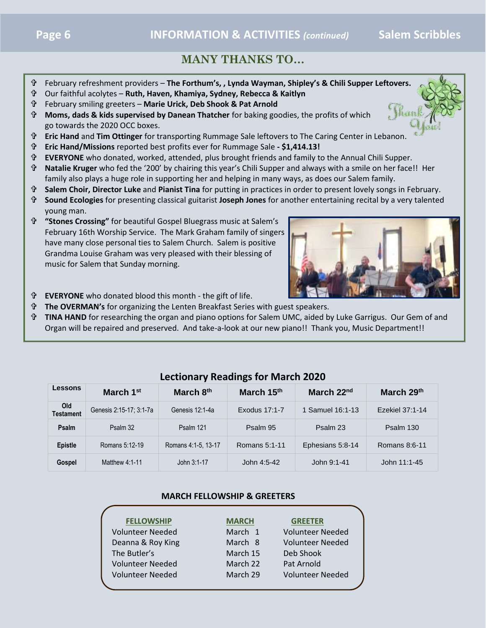# **MANY THANKS TO…**

- February refreshment providers **The Forthum's, , Lynda Wayman, Shipley's & Chili Supper Lef[tovers.](https://www.faithclipart.com/fca/affiliate.do?id=58&coupon=christmas)**
- Our faithful acolytes **Ruth, Haven, Khamiya, Sydney, Rebecca & Kaitlyn**
- February smiling greeters **Marie Urick, Deb Shook & Pat Arnold**
- **Moms, dads & kids supervised by Danean Thatcher** for baking goodies, the profits of which go towards the 2020 OCC boxes.
- **Eric Hand** and **Tim Ottinger** for transporting Rummage Sale leftovers to The Caring Center in Lebanon.
- **Eric Hand/Missions** reported best profits ever for Rummage Sale **- \$1,414.13!**
- **EVERYONE** who donated, worked, attended, plus brought friends and family to the Annual Chili Supper.
- **Natalie Kruger** who fed the '200' by chairing this year's Chili Supper and always with a smile on her face!! Her family also plays a huge role in supporting her and helping in many ways, as does our Salem family.
- **Salem Choir, Director Luke** and **Pianist Tina** for putting in practices in order to present lovely songs in February.
- **Sound Ecologies** for presenting classical guitarist **Joseph Jones** for another entertaining recital by a very talented young man.
- **"Stones Crossing"** for beautiful Gospel Bluegrass music at Salem's February 16th Worship Service. The Mark Graham family of singers have many close personal ties to Salem Church. Salem is positive Grandma Louise Graham was very pleased with their blessing of music for Salem that Sunday morning.



- **EVERYONE** who donated blood this month the gift of life.
- **The OVERMAN's** for organizing the Lenten Breakfast Series with guest speakers.
- **TINA HAND** for researching the organ and piano options for Salem UMC, aided by Luke Garrigus. Our Gem of and Organ will be repaired and preserved. And take-a-look at our new piano!! Thank you, Music Department!!

| <b>Lessons</b>          | March 1 <sup>st</sup>   | March 8th           | March 15th    | March 22nd       | March 29th      |  |  |
|-------------------------|-------------------------|---------------------|---------------|------------------|-----------------|--|--|
| Old<br><b>Testament</b> | Genesis 2:15-17; 3:1-7a | Genesis 12:1-4a     | Exodus 17:1-7 | 1 Samuel 16:1-13 | Ezekiel 37:1-14 |  |  |
| Psalm                   | Psalm 32                | Psalm 121           | Psalm 95      | Psalm 23         | Psalm 130       |  |  |
| <b>Epistle</b>          | Romans 5:12-19          | Romans 4:1-5, 13-17 | Romans 5:1-11 | Ephesians 5:8-14 | Romans 8:6-11   |  |  |
| Gospel                  | Matthew 4:1-11          | John 3:1-17         | John 4:5-42   | John 9:1-41      | John 11:1-45    |  |  |

## **Lectionary Readings for March 2020**

### **MARCH FELLOWSHIP & GREETERS**

| <b>MARCH</b> | <b>GREETER</b>          |  |
|--------------|-------------------------|--|
| March 1      | <b>Volunteer Needed</b> |  |
| March 8      | <b>Volunteer Needed</b> |  |
| March 15     | Deb Shook               |  |
| March 22     | Pat Arnold              |  |
| March 29     | <b>Volunteer Needed</b> |  |
|              |                         |  |

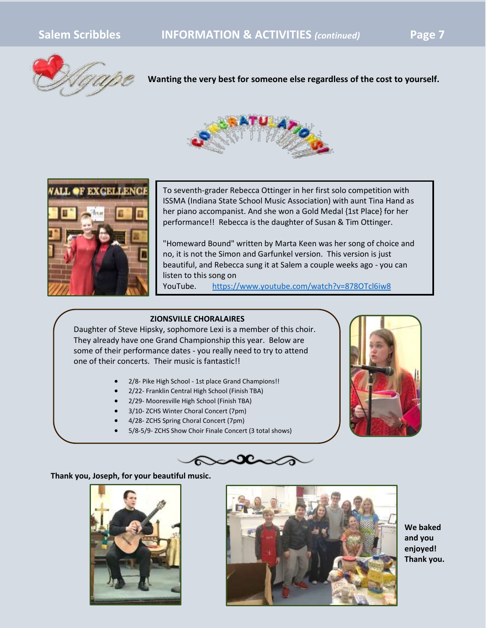

**Wanting the very best for someone else regardless of the cost to yourself.**





To seventh-grader Rebecca Ottinger in her first solo competition with ISSMA (Indiana State School Music Association) with aunt Tina Hand as her piano accompanist. And she won a Gold Medal {1st Place} for her performance!! Rebecca is the daughter of Susan & Tim Ottinger.

"Homeward Bound" written by Marta Keen was her song of choice and no, it is not the Simon and Garfunkel version. This version is just beautiful, and Rebecca sung it at Salem a couple weeks ago - you can listen to this song on

YouTube. <https://www.youtube.com/watch?v=878OTcl6iw8>

### **ZIONSVILLE CHORALAIRES**

Daughter of Steve Hipsky, sophomore Lexi is a member of this choir. They already have one Grand Championship this year. Below are some of their performance dates - you really need to try to attend one of their concerts. Their music is fantastic!!

- 2/8- Pike High School 1st place Grand Champions!!
- 2/22- Franklin Central High School (Finish TBA)
- 2/29- Mooresville High School (Finish TBA)
- 3/10- ZCHS Winter Choral Concert (7pm)
- 4/28- ZCHS Spring Choral Concert (7pm)
- 5/8-5/9- ZCHS Show Choir Finale Concert (3 total shows)





#### **Thank you, Joseph, for your beautiful music.**





**We baked and you enjoyed! Thank you.**